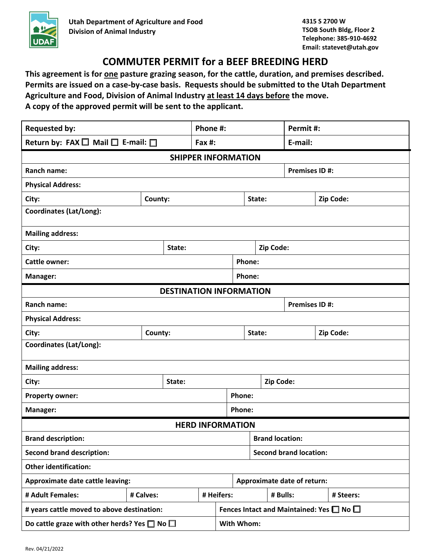

## **COMMUTER PERMIT for a BEEF BREEDING HERD**

**This agreement is for one pasture grazing season, for the cattle, duration, and premises described.**  Permits are issued on a case-by-case basis. Requests should be submitted to the Utah Department **Agriculture and Food, Division of Animal Industry at least 14 days before the move. A copy of the approved permit will be sent to the applicant.**

| <b>Requested by:</b>                                         |           |  | Phone #:                                                 |                        | Permit#:                           |                               |                      |                      |  |
|--------------------------------------------------------------|-----------|--|----------------------------------------------------------|------------------------|------------------------------------|-------------------------------|----------------------|----------------------|--|
| Return by: FAX $\square$ Mail $\square$ E-mail: $\square$    |           |  | Fax #:                                                   |                        |                                    |                               | E-mail:              |                      |  |
| <b>SHIPPER INFORMATION</b>                                   |           |  |                                                          |                        |                                    |                               |                      |                      |  |
| Ranch name:                                                  |           |  |                                                          |                        |                                    |                               |                      | <b>Premises ID#:</b> |  |
| <b>Physical Address:</b>                                     |           |  |                                                          |                        |                                    |                               |                      |                      |  |
| City:                                                        | County:   |  |                                                          |                        | State:                             |                               |                      | Zip Code:            |  |
| <b>Coordinates (Lat/Long):</b>                               |           |  |                                                          |                        |                                    |                               |                      |                      |  |
| <b>Mailing address:</b>                                      |           |  |                                                          |                        |                                    |                               |                      |                      |  |
| City:<br>State:                                              |           |  |                                                          |                        | Zip Code:                          |                               |                      |                      |  |
| Cattle owner:                                                |           |  |                                                          | Phone:                 |                                    |                               |                      |                      |  |
| Manager:                                                     |           |  |                                                          | Phone:                 |                                    |                               |                      |                      |  |
| <b>DESTINATION INFORMATION</b>                               |           |  |                                                          |                        |                                    |                               |                      |                      |  |
| Ranch name:                                                  |           |  |                                                          |                        |                                    |                               | <b>Premises ID#:</b> |                      |  |
| <b>Physical Address:</b>                                     |           |  |                                                          |                        |                                    |                               |                      |                      |  |
| City:                                                        | County:   |  |                                                          |                        | State:                             |                               |                      | Zip Code:            |  |
| <b>Coordinates (Lat/Long):</b>                               |           |  |                                                          |                        |                                    |                               |                      |                      |  |
| <b>Mailing address:</b>                                      |           |  |                                                          |                        |                                    |                               |                      |                      |  |
| City:<br>State:                                              |           |  |                                                          | Zip Code:              |                                    |                               |                      |                      |  |
| <b>Property owner:</b>                                       |           |  | <b>Phone:</b>                                            |                        |                                    |                               |                      |                      |  |
| Manager:<br>Phone:                                           |           |  |                                                          |                        |                                    |                               |                      |                      |  |
| <b>HERD INFORMATION</b>                                      |           |  |                                                          |                        |                                    |                               |                      |                      |  |
| <b>Brand description:</b>                                    |           |  |                                                          | <b>Brand location:</b> |                                    |                               |                      |                      |  |
| <b>Second brand description:</b>                             |           |  |                                                          |                        |                                    | <b>Second brand location:</b> |                      |                      |  |
| <b>Other identification:</b>                                 |           |  |                                                          |                        |                                    |                               |                      |                      |  |
| <b>Approximate date cattle leaving:</b>                      |           |  |                                                          |                        | <b>Approximate date of return:</b> |                               |                      |                      |  |
| # Adult Females:                                             | # Calves: |  | # Heifers:                                               |                        |                                    | # Bulls:                      | # Steers:            |                      |  |
| # years cattle moved to above destination:                   |           |  | Fences Intact and Maintained: Yes $\square$ No $\square$ |                        |                                    |                               |                      |                      |  |
| Do cattle graze with other herds? Yes $\square$ No $\square$ |           |  |                                                          | With Whom:             |                                    |                               |                      |                      |  |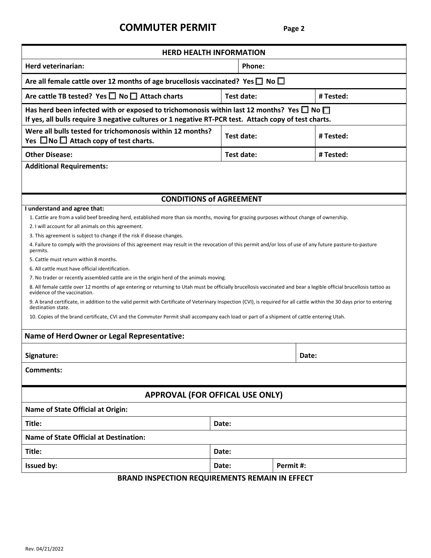## **COMMUTER PERMIT Page <sup>2</sup>**

| <b>HERD HEALTH INFORMATION</b>                                                                                                                                                                                                                                                                                                                                                                                                                                                                                                                                                                                                                                                                                                                                                                                                                                                                                                                                                                                                                                                                                                                                                                                                                                                                                                         |        |            |           |  |  |  |  |  |
|----------------------------------------------------------------------------------------------------------------------------------------------------------------------------------------------------------------------------------------------------------------------------------------------------------------------------------------------------------------------------------------------------------------------------------------------------------------------------------------------------------------------------------------------------------------------------------------------------------------------------------------------------------------------------------------------------------------------------------------------------------------------------------------------------------------------------------------------------------------------------------------------------------------------------------------------------------------------------------------------------------------------------------------------------------------------------------------------------------------------------------------------------------------------------------------------------------------------------------------------------------------------------------------------------------------------------------------|--------|------------|-----------|--|--|--|--|--|
| Herd veterinarian:                                                                                                                                                                                                                                                                                                                                                                                                                                                                                                                                                                                                                                                                                                                                                                                                                                                                                                                                                                                                                                                                                                                                                                                                                                                                                                                     | Phone: |            |           |  |  |  |  |  |
| Are all female cattle over 12 months of age brucellosis vaccinated? Yes $\square$ No $\square$                                                                                                                                                                                                                                                                                                                                                                                                                                                                                                                                                                                                                                                                                                                                                                                                                                                                                                                                                                                                                                                                                                                                                                                                                                         |        |            |           |  |  |  |  |  |
| Are cattle TB tested? Yes $\square$ No $\square$ Attach charts                                                                                                                                                                                                                                                                                                                                                                                                                                                                                                                                                                                                                                                                                                                                                                                                                                                                                                                                                                                                                                                                                                                                                                                                                                                                         |        | Test date: | # Tested: |  |  |  |  |  |
| Has herd been infected with or exposed to trichomonosis within last 12 months? Yes $\square$ No $\square$<br>If yes, all bulls require 3 negative cultures or 1 negative RT-PCR test. Attach copy of test charts.                                                                                                                                                                                                                                                                                                                                                                                                                                                                                                                                                                                                                                                                                                                                                                                                                                                                                                                                                                                                                                                                                                                      |        |            |           |  |  |  |  |  |
| Were all bulls tested for trichomonosis within 12 months?<br>Yes $\Box$ No $\Box$ Attach copy of test charts.                                                                                                                                                                                                                                                                                                                                                                                                                                                                                                                                                                                                                                                                                                                                                                                                                                                                                                                                                                                                                                                                                                                                                                                                                          |        | Test date: | # Tested: |  |  |  |  |  |
| <b>Other Disease:</b>                                                                                                                                                                                                                                                                                                                                                                                                                                                                                                                                                                                                                                                                                                                                                                                                                                                                                                                                                                                                                                                                                                                                                                                                                                                                                                                  |        | Test date: | # Tested: |  |  |  |  |  |
| <b>Additional Requirements:</b>                                                                                                                                                                                                                                                                                                                                                                                                                                                                                                                                                                                                                                                                                                                                                                                                                                                                                                                                                                                                                                                                                                                                                                                                                                                                                                        |        |            |           |  |  |  |  |  |
| <b>CONDITIONS of AGREEMENT</b>                                                                                                                                                                                                                                                                                                                                                                                                                                                                                                                                                                                                                                                                                                                                                                                                                                                                                                                                                                                                                                                                                                                                                                                                                                                                                                         |        |            |           |  |  |  |  |  |
| I understand and agree that:<br>1. Cattle are from a valid beef breeding herd, established more than six months, moving for grazing purposes without change of ownership.<br>2. I will account for all animals on this agreement.<br>3. This agreement is subject to change if the risk if disease changes.<br>4. Failure to comply with the provisions of this agreement may result in the revocation of this permit and/or loss of use of any future pasture-to-pasture<br>permits.<br>5. Cattle must return within 8 months.<br>6. All cattle must have official identification.<br>7. No trader or recently assembled cattle are in the origin herd of the animals moving.<br>8. All female cattle over 12 months of age entering or returning to Utah must be officially brucellosis vaccinated and bear a legible official brucellosis tattoo as<br>evidence of the vaccination.<br>9. A brand certificate, in addition to the valid permit with Certificate of Veterinary Inspection (CVI), is required for all cattle within the 30 days prior to entering<br>destination state.<br>10. Copies of the brand certificate, CVI and the Commuter Permit shall accompany each load or part of a shipment of cattle entering Utah.<br><b>Name of Herd Owner or Legal Representative:</b><br>Signature:<br>Date:<br><b>Comments:</b> |        |            |           |  |  |  |  |  |
|                                                                                                                                                                                                                                                                                                                                                                                                                                                                                                                                                                                                                                                                                                                                                                                                                                                                                                                                                                                                                                                                                                                                                                                                                                                                                                                                        |        |            |           |  |  |  |  |  |
| <b>APPROVAL (FOR OFFICAL USE ONLY)</b>                                                                                                                                                                                                                                                                                                                                                                                                                                                                                                                                                                                                                                                                                                                                                                                                                                                                                                                                                                                                                                                                                                                                                                                                                                                                                                 |        |            |           |  |  |  |  |  |
| <b>Name of State Official at Origin:</b>                                                                                                                                                                                                                                                                                                                                                                                                                                                                                                                                                                                                                                                                                                                                                                                                                                                                                                                                                                                                                                                                                                                                                                                                                                                                                               |        |            |           |  |  |  |  |  |
| Title:<br>Date:                                                                                                                                                                                                                                                                                                                                                                                                                                                                                                                                                                                                                                                                                                                                                                                                                                                                                                                                                                                                                                                                                                                                                                                                                                                                                                                        |        |            |           |  |  |  |  |  |
| <b>Name of State Official at Destination:</b>                                                                                                                                                                                                                                                                                                                                                                                                                                                                                                                                                                                                                                                                                                                                                                                                                                                                                                                                                                                                                                                                                                                                                                                                                                                                                          |        |            |           |  |  |  |  |  |
| Title:                                                                                                                                                                                                                                                                                                                                                                                                                                                                                                                                                                                                                                                                                                                                                                                                                                                                                                                                                                                                                                                                                                                                                                                                                                                                                                                                 | Date:  |            |           |  |  |  |  |  |
| <b>Issued by:</b>                                                                                                                                                                                                                                                                                                                                                                                                                                                                                                                                                                                                                                                                                                                                                                                                                                                                                                                                                                                                                                                                                                                                                                                                                                                                                                                      | Date:  | Permit#:   |           |  |  |  |  |  |
| <b>BRAND INSPECTION REQUIREMENTS REMAIN IN EFFECT</b>                                                                                                                                                                                                                                                                                                                                                                                                                                                                                                                                                                                                                                                                                                                                                                                                                                                                                                                                                                                                                                                                                                                                                                                                                                                                                  |        |            |           |  |  |  |  |  |

## **BRAND INSPECTION REQUIREMENTS REMAIN IN EFFECT**